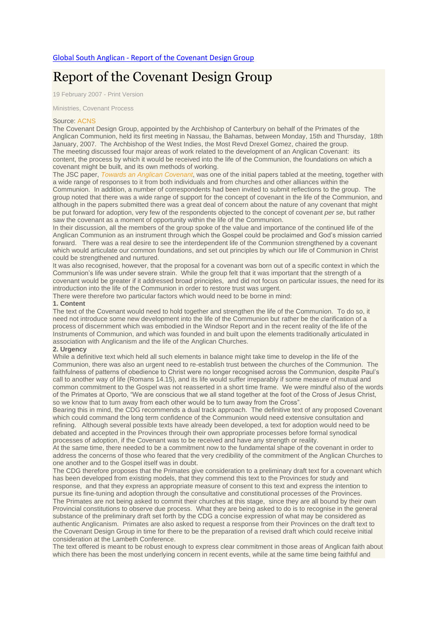# Report of the [Covenant](http://www.globalsouthanglican.org/index.php/blog/comments/report_of_the_covenant_design_group) Design Group

19 February 2007 - Print [Version](http://globalsouthanglican.org/index.php/blog/printing/report_of_the_covenant_design_group)

[Ministries,](http://globalsouthanglican.org/index.php/archives/category/ministries) [Covenant](http://globalsouthanglican.org/index.php/archives/category/covenant_process) Process

#### Source: [ACNS](http://www.anglicancommunion.org/acns/articles/42/50/acns4252.cfm)

The Covenant Design Group, appointed by the Archbishop of Canterbury on behalf of the Primates of the Anglican Communion, held its first meeting in Nassau, the Bahamas, between Monday, 15th and Thursday, 18th January, 2007. The Archbishop of the West Indies, the Most Revd Drexel Gomez, chaired the group. The meeting discussed four major areas of work related to the development of an Anglican Covenant: its content, the process by which it would be received into the life of the Communion, the foundations on which a covenant might be built, and its own methods of working.

The JSC paper, *Towards an Anglican [Covenant](http://www.aco.org/commission/covenant/index.cfm)*, was one of the initial papers tabled at the meeting, together with a wide range of responses to it from both individuals and from churches and other alliances within the Communion. In addition, a number of correspondents had been invited to submit reflections to the group. The group noted that there was a wide range of support for the concept of covenant in the life of the Communion, and although in the papers submitted there was a great deal of concern about the nature of any covenant that might be put forward for adoption, very few of the respondents objected to the concept of covenant *per se*, but rather saw the covenant as a moment of opportunity within the life of the Communion.

In their discussion, all the members of the group spoke of the value and importance of the continued life of the Anglican Communion as an instrument through which the Gospel could be proclaimed and God's mission carried forward. There was a real desire to see the interdependent life of the Communion strengthened by a covenant which would articulate our common foundations, and set out principles by which our life of Communion in Christ could be strengthened and nurtured.

It was also recognised, however, that the proposal for a covenant was born out of a specific context in which the Communion's life was under severe strain. While the group felt that it was important that the strength of a covenant would be greater if it addressed broad principles, and did not focus on particular issues, the need for its introduction into the life of the Communion in order to restore trust was urgent.

There were therefore two particular factors which would need to be borne in mind:

## **1. Content**

The text of the Covenant would need to hold together and strengthen the life of the Communion. To do so, it need not introduce some new development into the life of the Communion but rather be the clarification of a process of discernment which was embodied in the Windsor Report and in the recent reality of the life of the Instruments of Communion, and which was founded in and built upon the elements traditionally articulated in association with Anglicanism and the life of the Anglican Churches.

## **2. Urgency**

While a definitive text which held all such elements in balance might take time to develop in the life of the Communion, there was also an urgent need to re-establish trust between the churches of the Communion. The faithfulness of patterns of obedience to Christ were no longer recognised across the Communion, despite Paul's call to another way of life (Romans 14.15), and its life would suffer irreparably if some measure of mutual and common commitment to the Gospel was not reasserted in a short time frame. We were mindful also of the words of the Primates at Oporto, "We are conscious that we all stand together at the foot of the Cross of Jesus Christ, so we know that to turn away from each other would be to turn away from the Cross".

Bearing this in mind, the CDG recommends a dual track approach. The definitive text of any proposed Covenant which could command the long term confidence of the Communion would need extensive consultation and refining. Although several possible texts have already been developed, a text for adoption would need to be debated and accepted in the Provinces through their own appropriate processes before formal synodical processes of adoption, if the Covenant was to be received and have any strength or reality.

At the same time, there needed to be a commitment now to the fundamental shape of the covenant in order to address the concerns of those who feared that the very credibility of the commitment of the Anglican Churches to one another and to the Gospel itself was in doubt.

The CDG therefore proposes that the Primates give consideration to a preliminary draft text for a covenant which has been developed from existing models, that they commend this text to the Provinces for study and response, and that they express an appropriate measure of consent to this text and express the intention to pursue its fine-tuning and adoption through the consultative and constitutional processes of the Provinces. The Primates are not being asked to commit their churches at this stage, since they are all bound by their own Provincial constitutions to observe due process. What they are being asked to do is to recognise in the general substance of the preliminary draft set forth by the CDG a concise expression of what may be considered as authentic Anglicanism. Primates are also asked to request a response from their Provinces on the draft text to the Covenant Design Group in time for there to be the preparation of a revised draft which could receive initial consideration at the Lambeth Conference.

The text offered is meant to be robust enough to express clear commitment in those areas of Anglican faith about which there has been the most underlying concern in recent events, while at the same time being faithful and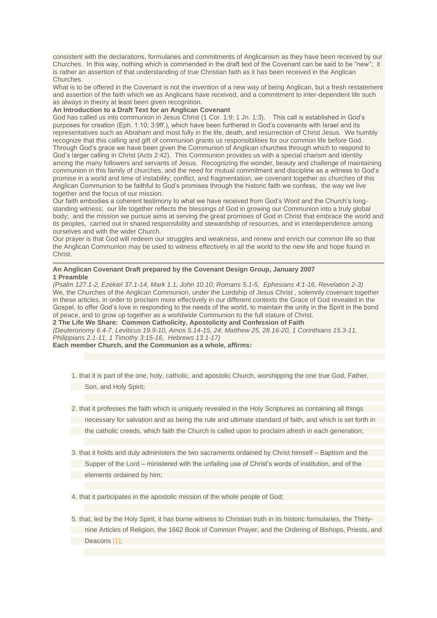consistent with the declarations, formularies and commitments of Anglicanism as they have been received by our Churches. In this way, nothing which is commended in the draft text of the Covenant can be said to be "new"; it is rather an assertion of that understanding of true Christian faith as it has been received in the Anglican Churches.

What is to be offered in the Covenant is not the invention of a new way of being Anglican, but a fresh restatement and assertion of the faith which we as Anglicans have received, and a commitment to inter-dependent life such as always in theory at least been given recognition.

# **An Introduction to a Draft Text for an Anglican Covenant**

God has called us into communion in Jesus Christ (1 Cor. 1:9; 1 Jn. 1:3). This call is established in God's purposes for creation (Eph. 1:10; 3:9ff.), which have been furthered in God's covenants with Israel and its representatives such as Abraham and most fully in the life, death, and resurrection of Christ Jesus. We humbly recognize that this calling and gift of communion grants us responsibilities for our common life before God. Through God's grace we have been given the Communion of Anglican churches through which to respond to God's larger calling in Christ (Acts 2:42). This Communion provides us with a special charism and identity among the many followers and servants of Jesus. Recognizing the wonder, beauty and challenge of maintaining communion in this family of churches, and the need for mutual commitment and discipline as a witness to God's promise in a world and time of instability, conflict, and fragmentation, we covenant together as churches of this Anglican Communion to be faithful to God's promises through the historic faith we confess, the way we live together and the focus of our mission.

Our faith embodies a coherent testimony to what we have received from God's Word and the Church's longstanding witness; our life together reflects the blessings of God in growing our Communion into a truly global body; and the mission we pursue aims at serving the great promises of God in Christ that embrace the world and its peoples, carried out in shared responsibility and stewardship of resources, and in interdependence among ourselves and with the wider Church.

Our prayer is that God will redeem our struggles and weakness, and renew and enrich our common life so that the Anglican Communion may be used to witness effectively in all the world to the new life and hope found in Christ.

## **An Anglican Covenant Draft prepared by the Covenant Design Group, January 2007 1 Preamble**

*(Psalm 127.1-2, Ezekiel 37.1-14, Mark 1.1, John 10.10; Romans 5.1-5, Ephesians 4:1-16, Revelation 2-3)* We, the Churches of the Anglican Communion, under the Lordship of Jesus Christ , solemnly covenant together in these articles, in order to proclaim more effectively in our different contexts the Grace of God revealed in the Gospel, to offer God's love in responding to the needs of the world, to maintain the unity in the Spirit in the bond of peace, and to grow up together as a worldwide Communion to the full stature of Christ. **2 The Life We Share: Common Catholicity, Apostolicity and Confession of Faith**

*(Deuteronomy 6.4-7, Leviticus 19.9-10, Amos 5.14-15, 24; Matthew 25, 28.16-20, 1 Corinthians 15.3-11, Philippians 2.1-11, 1 Timothy 3:15-16, Hebrews 13.1-17)*

**Each member Church, and the Communion as a whole, affirms:**

1. that it is part of the one, holy, catholic, and apostolic Church, worshipping the one true God, Father, Son, and Holy Spirit;

2. that it professes the faith which is uniquely revealed in the Holy Scriptures as containing all things necessary for salvation and as being the rule and ultimate standard of faith, and which is set forth in the catholic creeds, which faith the Church is called upon to proclaim afresh in each generation;

3. that it holds and duly administers the two sacraments ordained by Christ himself – Baptism and the Supper of the Lord – ministered with the unfailing use of Christ's words of institution, and of the elements ordained by him;

4. that it participates in the apostolic mission of the whole people of God;

5. that, led by the Holy Spirit, it has borne witness to Christian truth in its historic formularies, the Thirtynine Articles of Religion, the 1662 Book of Common Prayer, and the Ordering of Bishops, Priests, and Deacons [\[1\];](http://www.anglicancommunion.org/acns/articles/42/50/acns4252.cfm#_ftn1)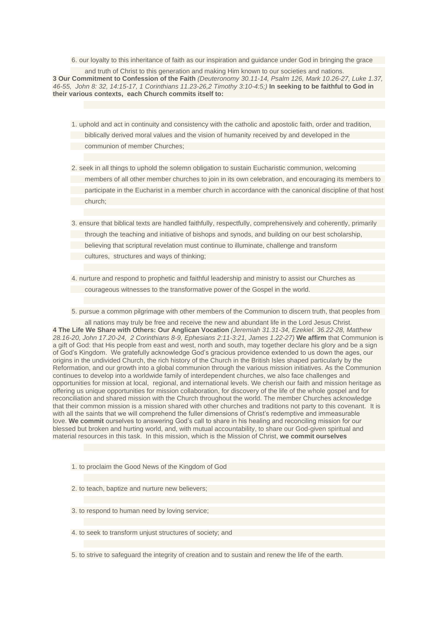6. our loyalty to this inheritance of faith as our inspiration and guidance under God in bringing the grace

and truth of Christ to this generation and making Him known to our societies and nations. **3 Our Commitment to Confession of the Faith** *(Deuteronomy 30.11-14, Psalm 126, Mark 10.26-27, Luke 1.37,* 46-55. John 8: 32, 14:15-17, 1 Corinthians 11.23-26.2 Timothy 3:10-4:5:) In seeking to be faithful to God in **their various contexts, each Church commits itself to:**

- 1. uphold and act in continuity and consistency with the catholic and apostolic faith, order and tradition, biblically derived moral values and the vision of humanity received by and developed in the communion of member Churches;
- 2. seek in all things to uphold the solemn obligation to sustain Eucharistic communion, welcoming members of all other member churches to join in its own celebration, and encouraging its members to participate in the Eucharist in a member church in accordance with the canonical discipline of that host church;
- 3. ensure that biblical texts are handled faithfully, respectfully, comprehensively and coherently, primarily through the teaching and initiative of bishops and synods, and building on our best scholarship, believing that scriptural revelation must continue to illuminate, challenge and transform cultures, structures and ways of thinking;
- 4. nurture and respond to prophetic and faithful leadership and ministry to assist our Churches as courageous witnesses to the transformative power of the Gospel in the world.
- 5. pursue a common pilgrimage with other members of the Communion to discern truth, that peoples from

all nations may truly be free and receive the new and abundant life in the Lord Jesus Christ. **4 The Life We Share with Others: Our Anglican Vocation** *(Jeremiah 31.31-34, Ezekiel. 36.22-28, Matthew 28.16-20, John 17.20-24, 2 Corinthians 8-9, Ephesians 2:11-3:21, James 1.22-27)* **We affirm** that Communion is a gift of God: that His people from east and west, north and south, may together declare his glory and be a sign of God's Kingdom. We gratefully acknowledge God's gracious providence extended to us down the ages, our origins in the undivided Church, the rich history of the Church in the British Isles shaped particularly by the Reformation, and our growth into a global communion through the various mission initiatives. As the Communion continues to develop into a worldwide family of interdependent churches, we also face challenges and opportunities for mission at local, regional, and international levels. We cherish our faith and mission heritage as offering us unique opportunities for mission collaboration, for discovery of the life of the whole gospel and for reconciliation and shared mission with the Church throughout the world. The member Churches acknowledge that their common mission is a mission shared with other churches and traditions not party to this covenant. It is with all the saints that we will comprehend the fuller dimensions of Christ's redemptive and immeasurable love. **We commit** ourselves to answering God's call to share in his healing and reconciling mission for our blessed but broken and hurting world, and, with mutual accountability, to share our God-given spiritual and material resources in this task. In this mission, which is the Mission of Christ, **we commit ourselves**

- 1. to proclaim the Good News of the Kingdom of God
- 2. to teach, baptize and nurture new believers;
- 3. to respond to human need by loving service;
- 4. to seek to transform unjust structures of society; and
- 5. to strive to safeguard the integrity of creation and to sustain and renew the life of the earth.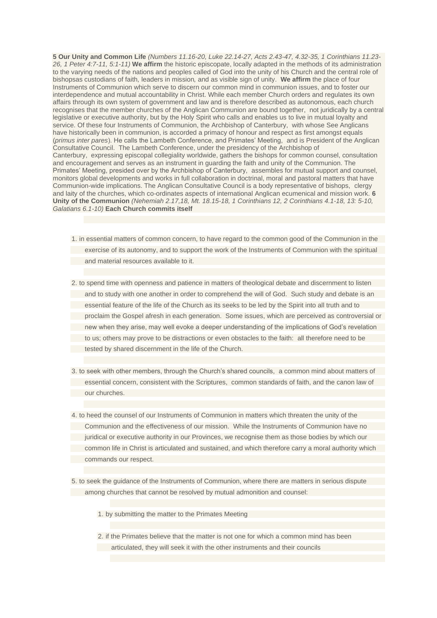**5 Our Unity and Common Life** *(Numbers 11.16-20, Luke 22.14-27, Acts 2.43-47, 4.32-35, 1 Corinthians 11.23- 26, 1 Peter 4:7-11, 5:1-11)* **We affirm** the historic episcopate, locally adapted in the methods of its administration to the varying needs of the nations and peoples called of God into the unity of his Church and the central role of bishopsas custodians of faith*,* leaders in mission*,* and as visible sign of unity. **We affirm** the place of four Instruments of Communion which serve to discern our common mind in communion issues, and to foster our interdependence and mutual accountability in Christ. While each member Church orders and regulates its own affairs through its own system of government and law and is therefore described as autonomous, each church recognises that the member churches of the Anglican Communion are bound together, not juridically by a central legislative or executive authority, but by the Holy Spirit who calls and enables us to live in mutual loyalty and service. Of these four Instruments of Communion, the Archbishop of Canterbury, with whose See Anglicans have historically been in communion, is accorded a primacy of honour and respect as first amongst equals (*primus inter pares*). He calls the Lambeth Conference, and Primates' Meeting, and is President of the Anglican Consultative Council. The Lambeth Conference, under the presidency of the Archbishop of Canterbury, expressing episcopal collegiality worldwide, gathers the bishops for common counsel, consultation and encouragement and serves as an instrument in guarding the faith and unity of the Communion. The Primates' Meeting, presided over by the Archbishop of Canterbury, assembles for mutual support and counsel, monitors global developments and works in full collaboration in doctrinal, moral and pastoral matters that have Communion-wide implications. The Anglican Consultative Council is a body representative of bishops, clergy and laity of the churches, which co-ordinates aspects of international Anglican ecumenical and mission work. **6 Unity of the Communion** *(Nehemiah 2.17,18, Mt. 18.15-18, 1 Corinthians 12, 2 Corinthians 4.1-18, 13: 5-10, Galatians 6.1-10)* **Each Church commits itself**

- 1. in essential matters of common concern, to have regard to the common good of the Communion in the exercise of its autonomy, and to support the work of the Instruments of Communion with the spiritual and material resources available to it.
- 2. to spend time with openness and patience in matters of theological debate and discernment to listen and to study with one another in order to comprehend the will of God. Such study and debate is an essential feature of the life of the Church as its seeks to be led by the Spirit into all truth and to proclaim the Gospel afresh in each generation. Some issues, which are perceived as controversial or new when they arise, may well evoke a deeper understanding of the implications of God's revelation to us; others may prove to be distractions or even obstacles to the faith: all therefore need to be tested by shared discernment in the life of the Church.
- 3. to seek with other members, through the Church's shared councils, a common mind about matters of essential concern, consistent with the Scriptures, common standards of faith, and the canon law of our churches.
- 4. to heed the counsel of our Instruments of Communion in matters which threaten the unity of the Communion and the effectiveness of our mission. While the Instruments of Communion have no juridical or executive authority in our Provinces, we recognise them as those bodies by which our common life in Christ is articulated and sustained, and which therefore carry a moral authority which commands our respect.
- 5. to seek the guidance of the Instruments of Communion, where there are matters in serious dispute among churches that cannot be resolved by mutual admonition and counsel:
	- 1. by submitting the matter to the Primates Meeting
	- 2. if the Primates believe that the matter is not one for which a common mind has been articulated, they will seek it with the other instruments and their councils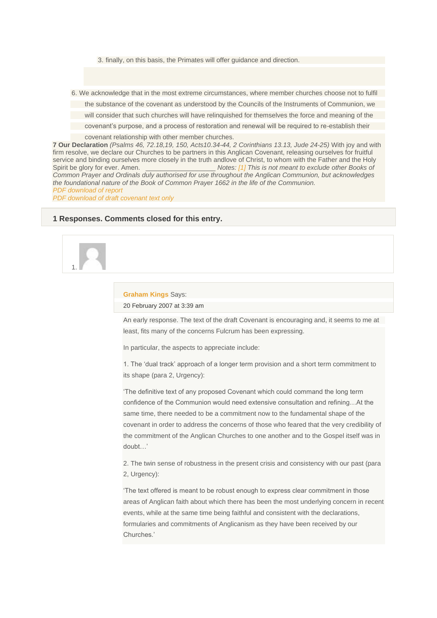3. finally, on this basis, the Primates will offer guidance and direction.

6. We acknowledge that in the most extreme circumstances, where member churches choose not to fulfil

the substance of the covenant as understood by the Councils of the Instruments of Communion, we

will consider that such churches will have relinquished for themselves the force and meaning of the

covenant's purpose, and a process of restoration and renewal will be required to re-establish their

covenant relationship with other member churches.

**7 Our Declaration** *(Psalms 46, 72.18,19, 150, Acts10.34-44, 2 Corinthians 13.13, Jude 24-25)* With joy and with firm resolve, we declare our Churches to be partners in this Anglican Covenant, releasing ourselves for fruitful service and binding ourselves more closely in the truth andlove of Christ, to whom with the Father and the Holy Spirit be glory for ever. Amen. \_\_\_\_\_\_\_\_\_\_\_\_\_\_\_\_\_\_\_ *Notes: [\[1\]](http://www.anglicancommunion.org/acns/articles/42/50/acns4252.cfm#_ftnref1) This is not meant to exclude other Books of Common Prayer and Ordinals duly authorised for use throughout the Anglican Communion, but acknowledges the foundational nature of the Book of Common Prayer 1662 in the life of the Communion. PDF [download](http://www.aco.org/commission/d_covenant/docs/covenant.pdf) of report*

*PDF [download](http://www.aco.org/commission/d_covenant/docs/Draft_Covenant_Text.pdf) of draft covenant text only*

### **1 Responses. Comments closed for this entry.**



#### **[Graham](http://www.stmaryislington.org/) Kings** Says:

20 [February](http://www.globalsouthanglican.org/blog/comments/report_of_the_covenant_design_group#comment-1191) 2007 at 3:39 am

An early response. The text of the draft Covenant is encouraging and, it seems to me at least, fits many of the concerns Fulcrum has been expressing.

In particular, the aspects to appreciate include:

1. The 'dual track' approach of a longer term provision and a short term commitment to its shape (para 2, Urgency):

'The definitive text of any proposed Covenant which could command the long term confidence of the Communion would need extensive consultation and refining…At the same time, there needed to be a commitment now to the fundamental shape of the covenant in order to address the concerns of those who feared that the very credibility of the commitment of the Anglican Churches to one another and to the Gospel itself was in doubt…'

2. The twin sense of robustness in the present crisis and consistency with our past (para 2, Urgency):

'The text offered is meant to be robust enough to express clear commitment in those areas of Anglican faith about which there has been the most underlying concern in recent events, while at the same time being faithful and consistent with the declarations, formularies and commitments of Anglicanism as they have been received by our Churches.'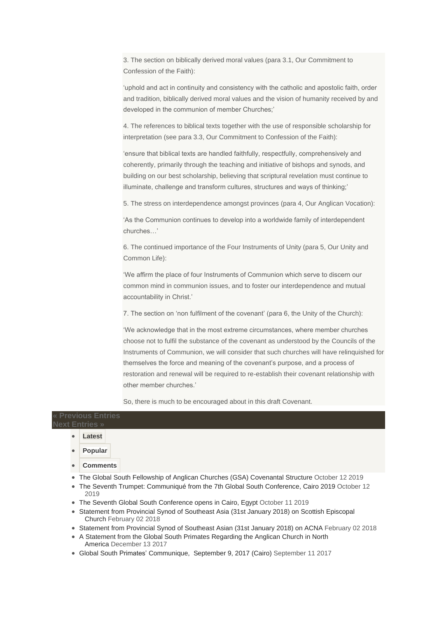3. The section on biblically derived moral values (para 3.1, Our Commitment to Confession of the Faith):

'uphold and act in continuity and consistency with the catholic and apostolic faith, order and tradition, biblically derived moral values and the vision of humanity received by and developed in the communion of member Churches;'

4. The references to biblical texts together with the use of responsible scholarship for interpretation (see para 3.3, Our Commitment to Confession of the Faith):

'ensure that biblical texts are handled faithfully, respectfully, comprehensively and coherently, primarily through the teaching and initiative of bishops and synods, and building on our best scholarship, believing that scriptural revelation must continue to illuminate, challenge and transform cultures, structures and ways of thinking;'

5. The stress on interdependence amongst provinces (para 4, Our Anglican Vocation):

'As the Communion continues to develop into a worldwide family of interdependent churches…'

6. The continued importance of the Four Instruments of Unity (para 5, Our Unity and Common Life):

'We affirm the place of four Instruments of Communion which serve to discern our common mind in communion issues, and to foster our interdependence and mutual accountability in Christ.'

7. The section on 'non fulfilment of the covenant' (para 6, the Unity of the Church):

'We acknowledge that in the most extreme circumstances, where member churches choose not to fulfil the substance of the covenant as understood by the Councils of the Instruments of Communion, we will consider that such churches will have relinquished for themselves the force and meaning of the covenant's purpose, and a process of restoration and renewal will be required to re-establish their covenant relationship with other member churches.'

So, there is much to be encouraged about in this draft Covenant.

## **« [Previous](http://globalsouthanglican.org/index.php/comments/latest_reports_and_reviews_on_tanzania_19_feb) Entries Next [Entries](http://globalsouthanglican.org/index.php/comments/primates_meeting_communique_tanzania) »**

- **[Latest](http://www.globalsouthanglican.org/blog/comments/report_of_the_covenant_design_group#latest)**
- **[Popular](http://www.globalsouthanglican.org/blog/comments/report_of_the_covenant_design_group#pop)**
- **[Comments](http://www.globalsouthanglican.org/blog/comments/report_of_the_covenant_design_group#comm)**
- The Global South Fellowship of Anglican Churches (GSA) [Covenantal](http://www.globalsouthanglican.org/index.php/blog/comments/the_global_south_fellowship_of_anglican_churches_gsa_covenantal_struct2) Structure October 12 2019
- The Seventh Trumpet: [Communiqué](http://www.globalsouthanglican.org/index.php/blog/comments/the_seventh_trumpet_communique) from the 7th Global South Conference, Cairo 2019 October 12 2019
- The Seventh Global South [Conference](http://www.globalsouthanglican.org/index.php/blog/comments/the_seventh_global_south_conference_opens_in_cairo_egypt) opens in Cairo, Egypt October 11 2019
- [Statement](http://www.globalsouthanglican.org/index.php/blog/comments/statement_from_provincial_synod_of_southeast_asia_31st_january_2018_on_scot) from Provincial Synod of Southeast Asia (31st January 2018) on Scottish Episcopal [Church](http://www.globalsouthanglican.org/index.php/blog/comments/statement_from_provincial_synod_of_southeast_asia_31st_january_2018_on_scot) February 02 2018
- [Statement](http://www.globalsouthanglican.org/index.php/blog/comments/SEAfullcommusionACNA) from Provincial Synod of Southeast Asian (31st January 2018) on ACNA February 02 2018
- A Statement from the Global South Primates [Regarding](http://www.globalsouthanglican.org/index.php/blog/comments/a_statement_from_the_global_south_primates_regarding_the_anglican_church_in) the Anglican Church in North [America](http://www.globalsouthanglican.org/index.php/blog/comments/a_statement_from_the_global_south_primates_regarding_the_anglican_church_in) December 13 2017
- Global South Primates' [Communique,](http://www.globalsouthanglican.org/index.php/blog/comments/gsp_comm_cairo_sept2017) September 9, 2017 (Cairo) September 11 2017